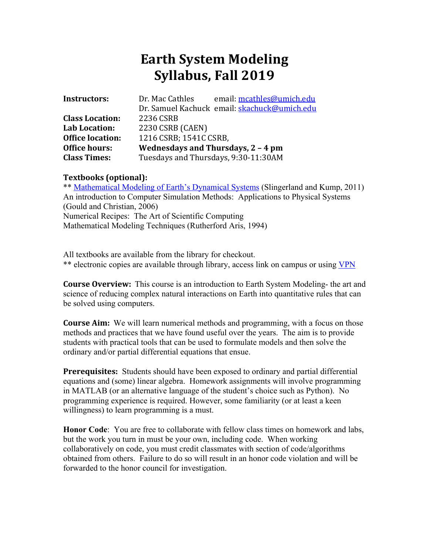# **Earth System Modeling Syllabus, Fall 2019**

| <b>Instructors:</b>     | Dr. Mac Cathles                      | email: mcathles@umich.edu                    |  |
|-------------------------|--------------------------------------|----------------------------------------------|--|
|                         |                                      | Dr. Samuel Kachuck email: skachuck@umich.edu |  |
| <b>Class Location:</b>  | 2236 CSRB                            |                                              |  |
| Lab Location:           | 2230 CSRB (CAEN)                     |                                              |  |
| <b>Office location:</b> | 1216 CSRB; 1541C CSRB,               |                                              |  |
| <b>Office hours:</b>    | Wednesdays and Thursdays, 2 - 4 pm   |                                              |  |
| <b>Class Times:</b>     | Tuesdays and Thursdays, 9:30-11:30AM |                                              |  |

## **Textbooks (optional):**

\*\* Mathematical Modeling of Earth's Dynamical Systems (Slingerland and Kump, 2011) An introduction to Computer Simulation Methods: Applications to Physical Systems (Gould and Christian, 2006) Numerical Recipes: The Art of Scientific Computing Mathematical Modeling Techniques (Rutherford Aris, 1994)

All textbooks are available from the library for checkout. \*\* electronic copies are available through library, access link on campus or using VPN

**Course Overview:** This course is an introduction to Earth System Modeling- the art and science of reducing complex natural interactions on Earth into quantitative rules that can be solved using computers.

**Course Aim:** We will learn numerical methods and programming, with a focus on those methods and practices that we have found useful over the years. The aim is to provide students with practical tools that can be used to formulate models and then solve the ordinary and/or partial differential equations that ensue.

**Prerequisites:** Students should have been exposed to ordinary and partial differential equations and (some) linear algebra. Homework assignments will involve programming in MATLAB (or an alternative language of the student's choice such as Python). No programming experience is required. However, some familiarity (or at least a keen willingness) to learn programming is a must.

**Honor Code**: You are free to collaborate with fellow class times on homework and labs, but the work you turn in must be your own, including code. When working collaboratively on code, you must credit classmates with section of code/algorithms obtained from others. Failure to do so will result in an honor code violation and will be forwarded to the honor council for investigation.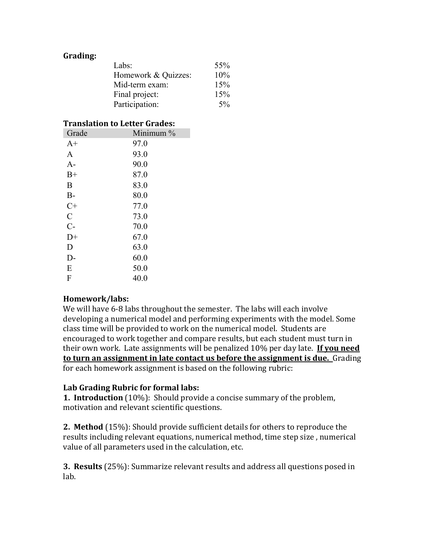## **Grading:**

| 55%                        |
|----------------------------|
| Homework & Quizzes:<br>10% |
| 15%                        |
| 15%                        |
| $5\%$                      |
|                            |

#### **Translation to Letter Grades:**

| Grade          | Minimum $\%$ |
|----------------|--------------|
| $A+$           | 97.0         |
| A              | 93.0         |
| $A-$           | 90.0         |
| $B+$           | 87.0         |
| B              | 83.0         |
| $B-$           | 80.0         |
| $C+$           | 77.0         |
| $\overline{C}$ | 73.0         |
| $C-$           | 70.0         |
| $D+$           | 67.0         |
| D              | 63.0         |
| D-             | 60.0         |
| E              | 50.0         |
| F              | 40.0         |

## **Homework/labs:**

We will have 6-8 labs throughout the semester. The labs will each involve developing a numerical model and performing experiments with the model. Some class time will be provided to work on the numerical model. Students are encouraged to work together and compare results, but each student must turn in their own work. Late assignments will be penalized 10% per day late. **If you need to turn an assignment in late contact us before the assignment is due.** Grading for each homework assignment is based on the following rubric:

## Lab Grading Rubric for formal labs:

**1. Introduction** (10%): Should provide a concise summary of the problem, motivation and relevant scientific questions.

**2. Method** (15%): Should provide sufficient details for others to reproduce the results including relevant equations, numerical method, time step size, numerical value of all parameters used in the calculation, etc.

**3. Results** (25%): Summarize relevant results and address all questions posed in lab.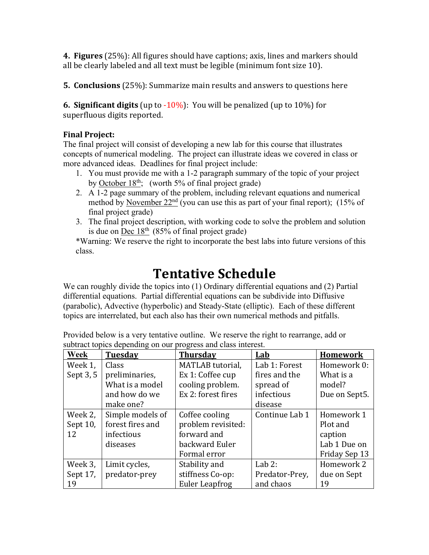**4. Figures** (25%): All figures should have captions; axis, lines and markers should all be clearly labeled and all text must be legible (minimum font size 10).

**5. Conclusions** (25%): Summarize main results and answers to questions here

**6. Significant digits** (up to  $-10\%$ ): You will be penalized (up to  $10\%$ ) for superfluous digits reported.

# **Final Project:**

The final project will consist of developing a new lab for this course that illustrates concepts of numerical modeling. The project can illustrate ideas we covered in class or more advanced ideas. Deadlines for final project include:

- 1. You must provide me with a 1-2 paragraph summary of the topic of your project by October  $18<sup>th</sup>$ ; (worth 5% of final project grade)
- 2. A 1-2 page summary of the problem, including relevant equations and numerical method by November  $22<sup>nd</sup>$  (you can use this as part of your final report); (15% of final project grade)
- 3. The final project description, with working code to solve the problem and solution is due on Dec  $18<sup>th</sup>$  (85% of final project grade)

\*Warning: We reserve the right to incorporate the best labs into future versions of this class.

# **Tentative Schedule**

We can roughly divide the topics into (1) Ordinary differential equations and (2) Partial differential equations. Partial differential equations can be subdivide into Diffusive (parabolic), Advective (hyperbolic) and Steady-State (elliptic). Each of these different topics are interrelated, but each also has their own numerical methods and pitfalls.

| Week      | <b>Tuesday</b>   | <b>Thursday</b>    | Lab            | <b>Homework</b> |
|-----------|------------------|--------------------|----------------|-----------------|
| Week 1,   | Class            | MATLAB tutorial,   | Lab 1: Forest  | Homework 0:     |
| Sept 3, 5 | preliminaries,   | Ex 1: Coffee cup   | fires and the  | What is a       |
|           | What is a model  | cooling problem.   | spread of      | model?          |
|           | and how do we    | Ex 2: forest fires | infectious     | Due on Sept5.   |
|           | make one?        |                    | disease        |                 |
| Week 2,   | Simple models of | Coffee cooling     | Continue Lab 1 | Homework 1      |
| Sept 10,  | forest fires and | problem revisited: |                | Plot and        |
| 12        | infectious       | forward and        |                | caption         |
|           | diseases         | backward Euler     |                | Lab 1 Due on    |
|           |                  | Formal error       |                | Friday Sep 13   |
| Week 3,   | Limit cycles,    | Stability and      | Lab $2:$       | Homework 2      |
| Sept 17,  | predator-prey    | stiffness Co-op:   | Predator-Prey, | due on Sept     |
| 19        |                  | Euler Leapfrog     | and chaos      | 19              |

Provided below is a very tentative outline. We reserve the right to rearrange, add or subtract topics depending on our progress and class interest.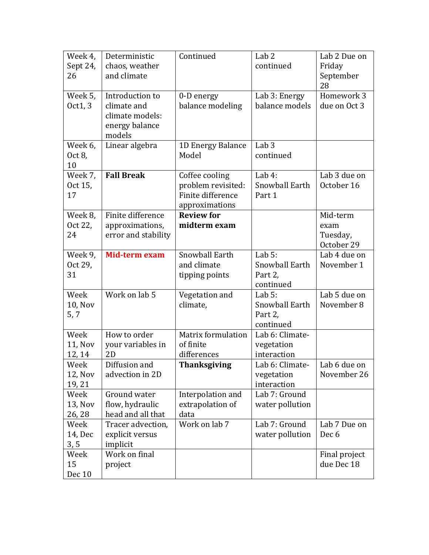| Week 4,         | Deterministic                   | Continued                               | Lab <sub>2</sub>             | Lab 2 Due on     |
|-----------------|---------------------------------|-----------------------------------------|------------------------------|------------------|
| Sept 24,        | chaos, weather                  |                                         | continued                    | Friday           |
| 26              | and climate                     |                                         |                              | September        |
|                 |                                 |                                         |                              | 28               |
| Week 5,         | Introduction to                 | 0-D energy                              | Lab 3: Energy                | Homework 3       |
| Oct1, 3         | climate and                     | balance modeling                        | balance models               | due on Oct 3     |
|                 | climate models:                 |                                         |                              |                  |
|                 | energy balance                  |                                         |                              |                  |
|                 | models                          |                                         |                              |                  |
| Week 6,         | Linear algebra                  | 1D Energy Balance                       | Lab <sub>3</sub>             |                  |
| Oct 8,          |                                 | Model                                   | continued                    |                  |
| 10              |                                 |                                         |                              |                  |
| Week 7,         | <b>Fall Break</b>               | Coffee cooling                          | Lab $4:$                     | Lab 3 due on     |
| Oct 15,         |                                 | problem revisited:<br>Finite difference | Snowball Earth               | October 16       |
| 17              |                                 | approximations                          | Part 1                       |                  |
| Week 8,         | Finite difference               | <b>Review for</b>                       |                              | Mid-term         |
| Oct 22,         | approximations,                 | midterm exam                            |                              | exam             |
| 24              | error and stability             |                                         |                              | Tuesday,         |
|                 |                                 |                                         |                              | October 29       |
| Week 9,         | Mid-term exam                   | Snowball Earth                          | Lab $5:$                     | Lab 4 due on     |
| Oct 29,         |                                 | and climate                             | Snowball Earth               | November 1       |
| 31              |                                 | tipping points                          | Part 2,                      |                  |
|                 |                                 |                                         | continued                    |                  |
| Week            | Work on lab 5                   | Vegetation and                          | Lab $5:$                     | Lab 5 due on     |
| <b>10, Nov</b>  |                                 | climate,                                | Snowball Earth               | November 8       |
| 5, 7            |                                 |                                         | Part 2,                      |                  |
|                 |                                 |                                         | continued                    |                  |
| Week            | How to order                    | <b>Matrix formulation</b>               | Lab 6: Climate-              |                  |
| <b>11, Nov</b>  | your variables in               | of finite                               | vegetation                   |                  |
| 12, 14          | 2D                              | differences                             | interaction                  |                  |
| Week            | Diffusion and                   | <b>Thanksgiving</b>                     | Lab 6: Climate-              | Lab 6 due on     |
| 12, Nov         | advection in 2D                 |                                         | vegetation                   | November 26      |
| 19, 21          |                                 |                                         | interaction<br>Lab 7: Ground |                  |
| Week<br>13, Nov | Ground water<br>flow, hydraulic | Interpolation and<br>extrapolation of   | water pollution              |                  |
| 26, 28          | head and all that               | data                                    |                              |                  |
| Week            | Tracer advection,               | Work on lab 7                           | Lab 7: Ground                | Lab 7 Due on     |
| 14, Dec         | explicit versus                 |                                         | water pollution              | Dec <sub>6</sub> |
| 3, 5            | implicit                        |                                         |                              |                  |
| Week            | Work on final                   |                                         |                              | Final project    |
| 15              | project                         |                                         |                              | due Dec 18       |
| Dec 10          |                                 |                                         |                              |                  |